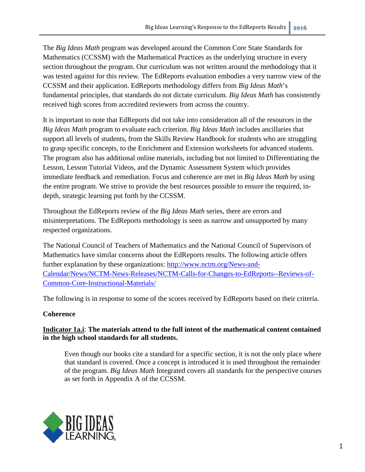The *Big Ideas Math* program was developed around the Common Core State Standards for Mathematics (CCSSM) with the Mathematical Practices as the underlying structure in every section throughout the program. Our curriculum was not written around the methodology that it was tested against for this review. The EdReports evaluation embodies a very narrow view of the CCSSM and their application. EdReports methodology differs from *Big Ideas Math*'s fundamental principles, that standards do not dictate curriculum. *Big Ideas Math* has consistently received high scores from accredited reviewers from across the country.

It is important to note that EdReports did not take into consideration all of the resources in the *Big Ideas Math* program to evaluate each criterion. *Big Ideas Math* includes ancillaries that support all levels of students, from the Skills Review Handbook for students who are struggling to grasp specific concepts, to the Enrichment and Extension worksheets for advanced students. The program also has additional online materials, including but not limited to Differentiating the Lesson, Lesson Tutorial Videos, and the Dynamic Assessment System which provides immediate feedback and remediation. Focus and coherence are met in *Big Ideas Math* by using the entire program. We strive to provide the best resources possible to ensure the required, indepth, strategic learning put forth by the CCSSM.

Throughout the EdReports review of the *Big Ideas Math* series, there are errors and misinterpretations. The EdReports methodology is seen as narrow and unsupported by many respected organizations.

The National Council of Teachers of Mathematics and the National Council of Supervisors of Mathematics have similar concerns about the EdReports results. The following article offers further explanation by these organizations: [http://www.nctm.org/News-and-](http://www.nctm.org/News-and-Calendar/News/NCTM-News-Releases/NCTM-Calls-for-Changes-to-EdReports--Reviews-of-Common-Core-Instructional-Materials/)[Calendar/News/NCTM-News-Releases/NCTM-Calls-for-Changes-to-EdReports--Reviews-of-](http://www.nctm.org/News-and-Calendar/News/NCTM-News-Releases/NCTM-Calls-for-Changes-to-EdReports--Reviews-of-Common-Core-Instructional-Materials/)[Common-Core-Instructional-Materials/](http://www.nctm.org/News-and-Calendar/News/NCTM-News-Releases/NCTM-Calls-for-Changes-to-EdReports--Reviews-of-Common-Core-Instructional-Materials/)

The following is in response to some of the scores received by EdReports based on their criteria.

# **Coherence**

**Indicator 1a.i**: **The materials attend to the full intent of the mathematical content contained in the high school standards for all students.**

Even though our books cite a standard for a specific section, it is not the only place where that standard is covered. Once a concept is introduced it is used throughout the remainder of the program. *Big Ideas Math* Integrated covers all standards for the perspective courses as set forth in Appendix A of the CCSSM.

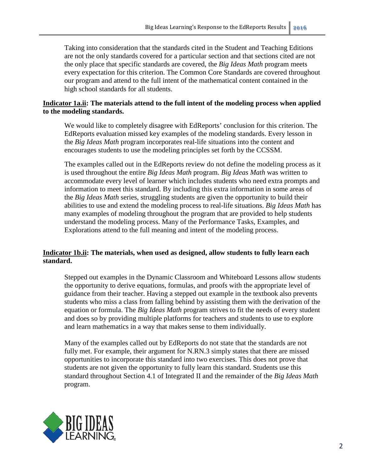Taking into consideration that the standards cited in the Student and Teaching Editions are not the only standards covered for a particular section and that sections cited are not the only place that specific standards are covered, the *Big Ideas Math* program meets every expectation for this criterion. The Common Core Standards are covered throughout our program and attend to the full intent of the mathematical content contained in the high school standards for all students.

# **Indicator 1a.ii: The materials attend to the full intent of the modeling process when applied to the modeling standards.**

We would like to completely disagree with EdReports' conclusion for this criterion. The EdReports evaluation missed key examples of the modeling standards. Every lesson in the *Big Ideas Math* program incorporates real-life situations into the content and encourages students to use the modeling principles set forth by the CCSSM.

The examples called out in the EdReports review do not define the modeling process as it is used throughout the entire *Big Ideas Math* program. *Big Ideas Math* was written to accommodate every level of learner which includes students who need extra prompts and information to meet this standard. By including this extra information in some areas of the *Big Ideas Math* series, struggling students are given the opportunity to build their abilities to use and extend the modeling process to real-life situations. *Big Ideas Math* has many examples of modeling throughout the program that are provided to help students understand the modeling process. Many of the Performance Tasks, Examples, and Explorations attend to the full meaning and intent of the modeling process.

## **Indicator 1b.ii: The materials, when used as designed, allow students to fully learn each standard.**

Stepped out examples in the Dynamic Classroom and Whiteboard Lessons allow students the opportunity to derive equations, formulas, and proofs with the appropriate level of guidance from their teacher. Having a stepped out example in the textbook also prevents students who miss a class from falling behind by assisting them with the derivation of the equation or formula. The *Big Ideas Math* program strives to fit the needs of every student and does so by providing multiple platforms for teachers and students to use to explore and learn mathematics in a way that makes sense to them individually.

Many of the examples called out by EdReports do not state that the standards are not fully met. For example, their argument for N.RN.3 simply states that there are missed opportunities to incorporate this standard into two exercises. This does not prove that students are not given the opportunity to fully learn this standard. Students use this standard throughout Section 4.1 of Integrated II and the remainder of the *Big Ideas Math* program.

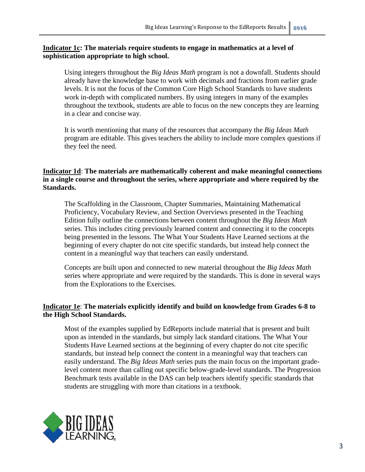## **Indicator 1c: The materials require students to engage in mathematics at a level of sophistication appropriate to high school.**

Using integers throughout the *Big Ideas Math* program is not a downfall. Students should already have the knowledge base to work with decimals and fractions from earlier grade levels. It is not the focus of the Common Core High School Standards to have students work in-depth with complicated numbers. By using integers in many of the examples throughout the textbook, students are able to focus on the new concepts they are learning in a clear and concise way.

It is worth mentioning that many of the resources that accompany the *Big Ideas Math* program are editable. This gives teachers the ability to include more complex questions if they feel the need.

## **Indicator 1d**: **The materials are mathematically coherent and make meaningful connections in a single course and throughout the series, where appropriate and where required by the Standards.**

The Scaffolding in the Classroom, Chapter Summaries, Maintaining Mathematical Proficiency, Vocabulary Review, and Section Overviews presented in the Teaching Edition fully outline the connections between content throughout the *Big Ideas Math* series. This includes citing previously learned content and connecting it to the concepts being presented in the lessons. The What Your Students Have Learned sections at the beginning of every chapter do not cite specific standards, but instead help connect the content in a meaningful way that teachers can easily understand.

Concepts are built upon and connected to new material throughout the *Big Ideas Math* series where appropriate and were required by the standards. This is done in several ways from the Explorations to the Exercises.

# **Indicator 1e**: **The materials explicitly identify and build on knowledge from Grades 6-8 to the High School Standards.**

Most of the examples supplied by EdReports include material that is present and built upon as intended in the standards, but simply lack standard citations. The What Your Students Have Learned sections at the beginning of every chapter do not cite specific standards, but instead help connect the content in a meaningful way that teachers can easily understand. The *Big Ideas Math* series puts the main focus on the important gradelevel content more than calling out specific below-grade-level standards. The Progression Benchmark tests available in the DAS can help teachers identify specific standards that students are struggling with more than citations in a textbook.